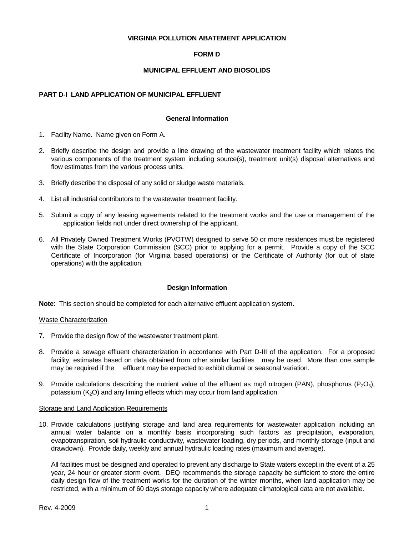### **VIRGINIA POLLUTION ABATEMENT APPLICATION**

# **FORM D**

## **MUNICIPAL EFFLUENT AND BIOSOLIDS**

### **PART D-I LAND APPLICATION OF MUNICIPAL EFFLUENT**

#### **General Information**

- 1. Facility Name. Name given on Form A.
- 2. Briefly describe the design and provide a line drawing of the wastewater treatment facility which relates the various components of the treatment system including source(s), treatment unit(s) disposal alternatives and flow estimates from the various process units.
- 3. Briefly describe the disposal of any solid or sludge waste materials.
- 4. List all industrial contributors to the wastewater treatment facility.
- 5. Submit a copy of any leasing agreements related to the treatment works and the use or management of the application fields not under direct ownership of the applicant.
- 6. All Privately Owned Treatment Works (PVOTW) designed to serve 50 or more residences must be registered with the State Corporation Commission (SCC) prior to applying for a permit. Provide a copy of the SCC Certificate of Incorporation (for Virginia based operations) or the Certificate of Authority (for out of state operations) with the application.

### **Design Information**

**Note**: This section should be completed for each alternative effluent application system.

### Waste Characterization

- 7. Provide the design flow of the wastewater treatment plant.
- 8. Provide a sewage effluent characterization in accordance with Part D-III of the application. For a proposed facility, estimates based on data obtained from other similar facilities may be used. More than one sample may be required if the effluent may be expected to exhibit diurnal or seasonal variation.
- 9. Provide calculations describing the nutrient value of the effluent as mg/l nitrogen (PAN), phosphorus (P<sub>2</sub>O<sub>5</sub>), potassium  $(K<sub>2</sub>O)$  and any liming effects which may occur from land application.

#### Storage and Land Application Requirements

10. Provide calculations justifying storage and land area requirements for wastewater application including an annual water balance on a monthly basis incorporating such factors as precipitation, evaporation, evapotranspiration, soil hydraulic conductivity, wastewater loading, dry periods, and monthly storage (input and drawdown). Provide daily, weekly and annual hydraulic loading rates (maximum and average).

All facilities must be designed and operated to prevent any discharge to State waters except in the event of a 25 year, 24 hour or greater storm event. DEQ recommends the storage capacity be sufficient to store the entire daily design flow of the treatment works for the duration of the winter months, when land application may be restricted, with a minimum of 60 days storage capacity where adequate climatological data are not available.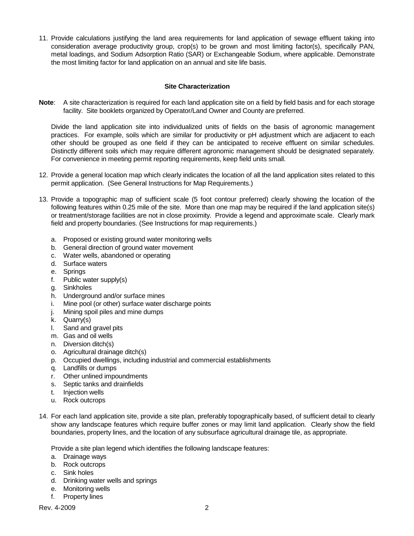11. Provide calculations justifying the land area requirements for land application of sewage effluent taking into consideration average productivity group, crop(s) to be grown and most limiting factor(s), specifically PAN, metal loadings, and Sodium Adsorption Ratio (SAR) or Exchangeable Sodium, where applicable. Demonstrate the most limiting factor for land application on an annual and site life basis.

# **Site Characterization**

**Note**: A site characterization is required for each land application site on a field by field basis and for each storage facility. Site booklets organized by Operator/Land Owner and County are preferred.

Divide the land application site into individualized units of fields on the basis of agronomic management practices. For example, soils which are similar for productivity or pH adjustment which are adjacent to each other should be grouped as one field if they can be anticipated to receive effluent on similar schedules. Distinctly different soils which may require different agronomic management should be designated separately. For convenience in meeting permit reporting requirements, keep field units small.

- 12. Provide a general location map which clearly indicates the location of all the land application sites related to this permit application. (See General Instructions for Map Requirements.)
- 13. Provide a topographic map of sufficient scale (5 foot contour preferred) clearly showing the location of the following features within 0.25 mile of the site. More than one map may be required if the land application site(s) or treatment/storage facilities are not in close proximity. Provide a legend and approximate scale. Clearly mark field and property boundaries. (See Instructions for map requirements.)
	- a. Proposed or existing ground water monitoring wells
	- b. General direction of ground water movement
	- c. Water wells, abandoned or operating
	- d. Surface waters
	- e. Springs
	- f. Public water supply(s)
	- g. Sinkholes
	- h. Underground and/or surface mines
	- i. Mine pool (or other) surface water discharge points
	- j. Mining spoil piles and mine dumps
	- k. Quarry(s)
	- l. Sand and gravel pits
	- m. Gas and oil wells
	- n. Diversion ditch(s)
	- o. Agricultural drainage ditch(s)
	- p. Occupied dwellings, including industrial and commercial establishments
	- q. Landfills or dumps
	- r. Other unlined impoundments
	- s. Septic tanks and drainfields
	- t. Injection wells
	- u. Rock outcrops
- 14. For each land application site, provide a site plan, preferably topographically based, of sufficient detail to clearly show any landscape features which require buffer zones or may limit land application. Clearly show the field boundaries, property lines, and the location of any subsurface agricultural drainage tile, as appropriate.

Provide a site plan legend which identifies the following landscape features:

- a. Drainage ways
- b. Rock outcrops
- c. Sink holes
- d. Drinking water wells and springs
- e. Monitoring wells
- f. Property lines

Rev. 4-2009 2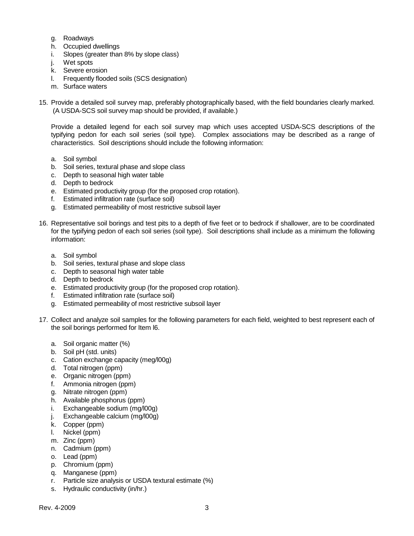- g. Roadways
- h. Occupied dwellings
- i. Slopes (greater than 8% by slope class)
- j. Wet spots
- k. Severe erosion
- l. Frequently flooded soils (SCS designation)
- m. Surface waters
- 15. Provide a detailed soil survey map, preferably photographically based, with the field boundaries clearly marked. (A USDA-SCS soil survey map should be provided, if available.)

Provide a detailed legend for each soil survey map which uses accepted USDA-SCS descriptions of the typifying pedon for each soil series (soil type). Complex associations may be described as a range of characteristics. Soil descriptions should include the following information:

- a. Soil symbol
- b. Soil series, textural phase and slope class
- c. Depth to seasonal high water table
- d. Depth to bedrock
- e. Estimated productivity group (for the proposed crop rotation).
- f. Estimated infiltration rate (surface soil)
- g. Estimated permeability of most restrictive subsoil layer
- 16. Representative soil borings and test pits to a depth of five feet or to bedrock if shallower, are to be coordinated for the typifying pedon of each soil series (soil type). Soil descriptions shall include as a minimum the following information:
	- a. Soil symbol
	- b. Soil series, textural phase and slope class
	- c. Depth to seasonal high water table
	- d. Depth to bedrock
	- e. Estimated productivity group (for the proposed crop rotation).
	- f. Estimated infiltration rate (surface soil)
	- g. Estimated permeability of most restrictive subsoil layer
- 17. Collect and analyze soil samples for the following parameters for each field, weighted to best represent each of the soil borings performed for Item l6.
	- a. Soil organic matter (%)
	- b. Soil pH (std. units)
	- c. Cation exchange capacity (meg/l00g)
	- d. Total nitrogen (ppm)
	- e. Organic nitrogen (ppm)
	- f. Ammonia nitrogen (ppm)
	- g. Nitrate nitrogen (ppm)
	- h. Available phosphorus (ppm)
	- i. Exchangeable sodium (mg/l00g)
	- j. Exchangeable calcium (mg/l00g)
	- k. Copper (ppm)
	- l. Nickel (ppm)
	- m. Zinc (ppm)
	- n. Cadmium (ppm)
	- o. Lead (ppm)
	- p. Chromium (ppm)
	- q. Manganese (ppm)
	- r. Particle size analysis or USDA textural estimate (%)
	- s. Hydraulic conductivity (in/hr.)